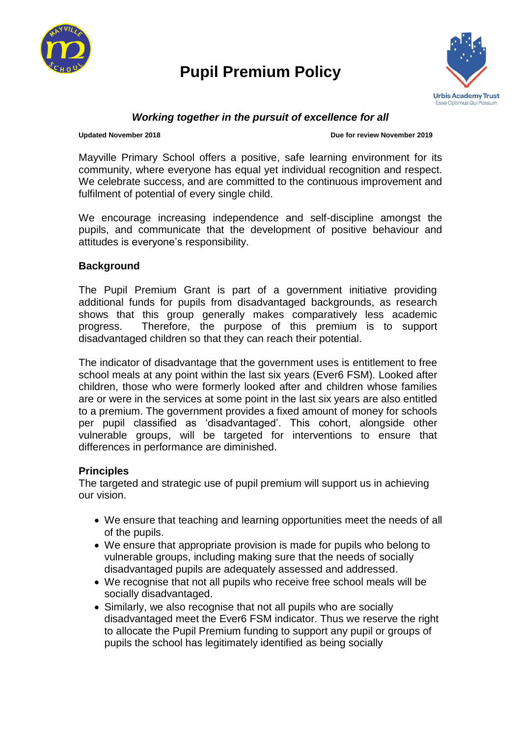

# **Pupil Premium Policy**



### *Working together in the pursuit of excellence for all*

#### **Updated November 2018 Due for review November 2019**

Mayville Primary School offers a positive, safe learning environment for its community, where everyone has equal yet individual recognition and respect. We celebrate success, and are committed to the continuous improvement and fulfilment of potential of every single child.

We encourage increasing independence and self-discipline amongst the pupils, and communicate that the development of positive behaviour and attitudes is everyone's responsibility.

#### **Background**

The Pupil Premium Grant is part of a government initiative providing additional funds for pupils from disadvantaged backgrounds, as research shows that this group generally makes comparatively less academic progress. Therefore, the purpose of this premium is to support disadvantaged children so that they can reach their potential.

The indicator of disadvantage that the government uses is entitlement to free school meals at any point within the last six years (Ever6 FSM). Looked after children, those who were formerly looked after and children whose families are or were in the services at some point in the last six years are also entitled to a premium. The government provides a fixed amount of money for schools per pupil classified as 'disadvantaged'. This cohort, alongside other vulnerable groups, will be targeted for interventions to ensure that differences in performance are diminished.

#### **Principles**

The targeted and strategic use of pupil premium will support us in achieving our vision.

- We ensure that teaching and learning opportunities meet the needs of all of the pupils.
- We ensure that appropriate provision is made for pupils who belong to vulnerable groups, including making sure that the needs of socially disadvantaged pupils are adequately assessed and addressed.
- We recognise that not all pupils who receive free school meals will be socially disadvantaged.
- Similarly, we also recognise that not all pupils who are socially disadvantaged meet the Ever6 FSM indicator. Thus we reserve the right to allocate the Pupil Premium funding to support any pupil or groups of pupils the school has legitimately identified as being socially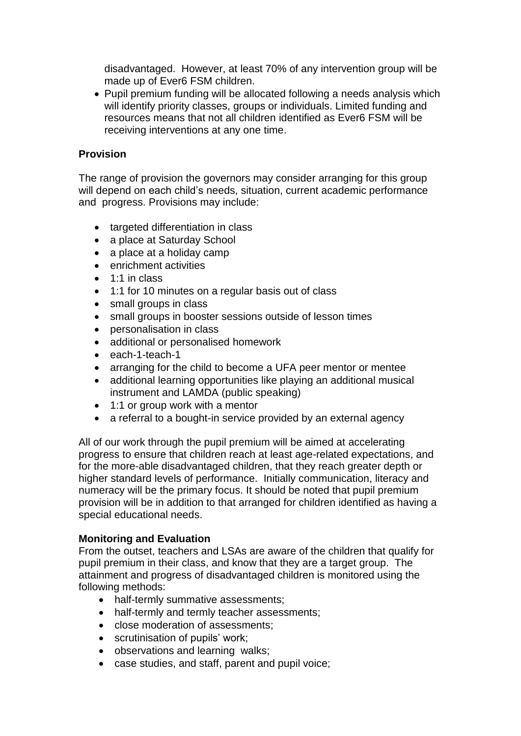disadvantaged. However, at least 70% of any intervention group will be made up of Ever6 FSM children.

• Pupil premium funding will be allocated following a needs analysis which will identify priority classes, groups or individuals. Limited funding and resources means that not all children identified as Ever6 FSM will be receiving interventions at any one time.

### **Provision**

The range of provision the governors may consider arranging for this group will depend on each child's needs, situation, current academic performance and progress. Provisions may include:

- targeted differentiation in class
- a place at Saturday School
- a place at a holiday camp
- enrichment activities
- $\bullet$  1:1 in class
- 1:1 for 10 minutes on a regular basis out of class
- small groups in class
- small groups in booster sessions outside of lesson times
- personalisation in class
- additional or personalised homework
- each-1-teach-1
- arranging for the child to become a UFA peer mentor or mentee
- additional learning opportunities like playing an additional musical instrument and LAMDA (public speaking)
- 1:1 or group work with a mentor
- a referral to a bought-in service provided by an external agency

All of our work through the pupil premium will be aimed at accelerating progress to ensure that children reach at least age-related expectations, and for the more-able disadvantaged children, that they reach greater depth or higher standard levels of performance. Initially communication, literacy and numeracy will be the primary focus. It should be noted that pupil premium provision will be in addition to that arranged for children identified as having a special educational needs.

## **Monitoring and Evaluation**

From the outset, teachers and LSAs are aware of the children that qualify for pupil premium in their class, and know that they are a target group. The attainment and progress of disadvantaged children is monitored using the following methods:

- half-termly summative assessments;
- half-termly and termly teacher assessments;
- close moderation of assessments;
- scrutinisation of pupils' work;
- observations and learning walks;
- case studies, and staff, parent and pupil voice;